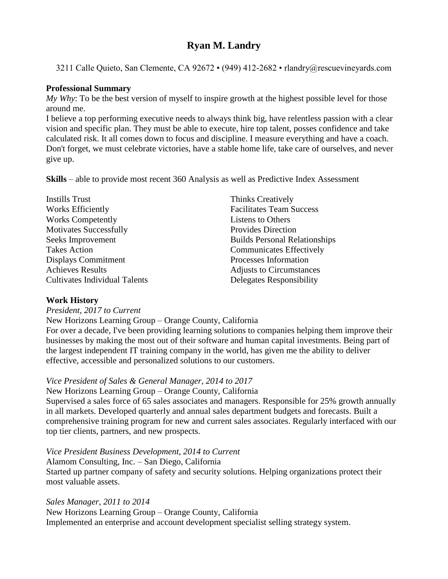# **Ryan M. Landry**

3211 Calle Quieto, San Clemente, CA 92672 • (949) 412-2682 • rlandry@rescuevineyards.com

## **Professional Summary**

*My Why*: To be the best version of myself to inspire growth at the highest possible level for those around me.

I believe a top performing executive needs to always think big, have relentless passion with a clear vision and specific plan. They must be able to execute, hire top talent, posses confidence and take calculated risk. It all comes down to focus and discipline. I measure everything and have a coach. Don't forget, we must celebrate victories, have a stable home life, take care of ourselves, and never give up.

**Skills** – able to provide most recent 360 Analysis as well as Predictive Index Assessment

| <b>Instills Trust</b>                | <b>Thinks Creatively</b>             |
|--------------------------------------|--------------------------------------|
| Works Efficiently                    | <b>Facilitates Team Success</b>      |
| <b>Works Competently</b>             | Listens to Others                    |
| <b>Motivates Successfully</b>        | <b>Provides Direction</b>            |
| Seeks Improvement                    | <b>Builds Personal Relationships</b> |
| <b>Takes Action</b>                  | <b>Communicates Effectively</b>      |
| Displays Commitment                  | Processes Information                |
| <b>Achieves Results</b>              | <b>Adjusts to Circumstances</b>      |
| <b>Cultivates Individual Talents</b> | Delegates Responsibility             |
|                                      |                                      |

### **Work History**

*President, 2017 to Current*

New Horizons Learning Group – Orange County, California

For over a decade, I've been providing learning solutions to companies helping them improve their businesses by making the most out of their software and human capital investments. Being part of the largest independent IT training company in the world, has given me the ability to deliver effective, accessible and personalized solutions to our customers.

## *Vice President of Sales & General Manager, 2014 to 2017*

### New Horizons Learning Group – Orange County, California

Supervised a sales force of 65 sales associates and managers. Responsible for 25% growth annually in all markets. Developed quarterly and annual sales department budgets and forecasts. Built a comprehensive training program for new and current sales associates. Regularly interfaced with our top tier clients, partners, and new prospects.

### *Vice President Business Development, 2014 to Current*

Alamom Consulting, Inc. – San Diego, California Started up partner company of safety and security solutions. Helping organizations protect their most valuable assets.

### *Sales Manager, 2011 to 2014*

New Horizons Learning Group – Orange County, California Implemented an enterprise and account development specialist selling strategy system.